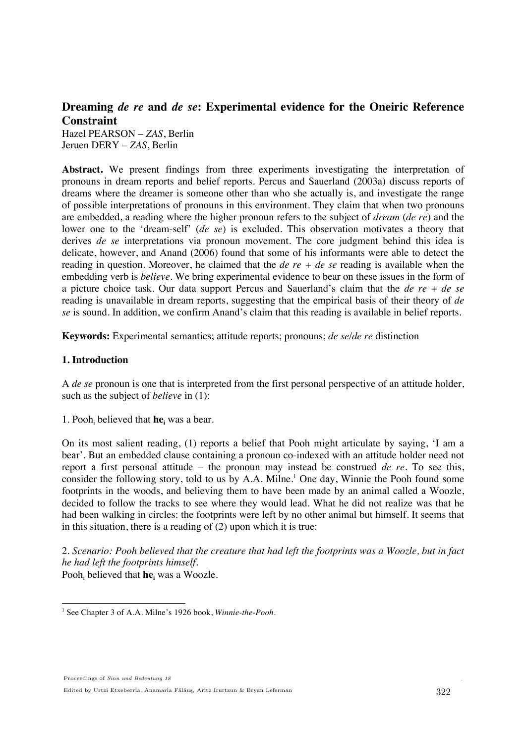# **Dreaming** *de re* **and** *de se***: Experimental evidence for the Oneiric Reference Constraint**

Hazel PEARSON – *ZAS*, Berlin Jeruen DERY – *ZAS*, Berlin

**Abstract.** We present findings from three experiments investigating the interpretation of pronouns in dream reports and belief reports. Percus and Sauerland (2003a) discuss reports of dreams where the dreamer is someone other than who she actually is, and investigate the range of possible interpretations of pronouns in this environment. They claim that when two pronouns are embedded, a reading where the higher pronoun refers to the subject of *dream* (*de re*) and the lower one to the 'dream-self' (*de se*) is excluded. This observation motivates a theory that derives *de se* interpretations via pronoun movement. The core judgment behind this idea is delicate, however, and Anand (2006) found that some of his informants were able to detect the reading in question. Moreover, he claimed that the *de re + de se* reading is available when the embedding verb is *believe*. We bring experimental evidence to bear on these issues in the form of a picture choice task. Our data support Percus and Sauerland's claim that the *de re* + *de se* reading is unavailable in dream reports, suggesting that the empirical basis of their theory of *de se* is sound. In addition, we confirm Anand's claim that this reading is available in belief reports.

**Keywords:** Experimental semantics; attitude reports; pronouns; *de se*/*de re* distinction

# **1. Introduction**

A *de se* pronoun is one that is interpreted from the first personal perspective of an attitude holder, such as the subject of *believe* in (1):

1. Pooh<sub>i</sub> believed that  $he_i$  was a bear.

On its most salient reading, (1) reports a belief that Pooh might articulate by saying, 'I am a bear'. But an embedded clause containing a pronoun co-indexed with an attitude holder need not report a first personal attitude – the pronoun may instead be construed *de re*. To see this, consider the following story, told to us by A.A. Milne.<sup>1</sup> One day, Winnie the Pooh found some footprints in the woods, and believing them to have been made by an animal called a Woozle, decided to follow the tracks to see where they would lead. What he did not realize was that he had been walking in circles: the footprints were left by no other animal but himself. It seems that in this situation, there is a reading of (2) upon which it is true:

2. *Scenario: Pooh believed that the creature that had left the footprints was a Woozle, but in fact he had left the footprints himself.*  Pooh<sub>i</sub> believed that **he**<sub>i</sub> was a Woozle.

<sup>!!!!!!!!!!!!!!!!!!!!!!!!!!!!!!!!!!!!!!!!!!!!!!!!!!!!!!!</sup> <sup>1</sup> See Chapter 3 of A.A. Milne's 1926 book, *Winnie-the-Pooh*.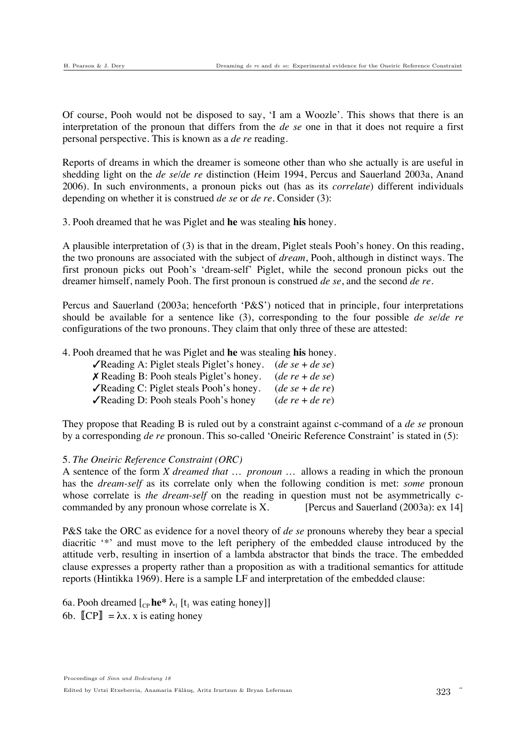Of course, Pooh would not be disposed to say, 'I am a Woozle'. This shows that there is an interpretation of the pronoun that differs from the *de se* one in that it does not require a first personal perspective. This is known as a *de re* reading.

Reports of dreams in which the dreamer is someone other than who she actually is are useful in shedding light on the *de se*/*de re* distinction (Heim 1994, Percus and Sauerland 2003a, Anand 2006). In such environments, a pronoun picks out (has as its *correlate*) different individuals depending on whether it is construed *de se* or *de re.* Consider (3):

3. Pooh dreamed that he was Piglet and **he** was stealing **his** honey.

A plausible interpretation of (3) is that in the dream, Piglet steals Pooh's honey. On this reading, the two pronouns are associated with the subject of *dream*, Pooh, although in distinct ways. The first pronoun picks out Pooh's 'dream-self' Piglet, while the second pronoun picks out the dreamer himself, namely Pooh. The first pronoun is construed *de se*, and the second *de re*.

Percus and Sauerland (2003a; henceforth 'P&S') noticed that in principle, four interpretations should be available for a sentence like (3), corresponding to the four possible *de se*/*de re* configurations of the two pronouns. They claim that only three of these are attested:

4. Pooh dreamed that he was Piglet and **he** was stealing **his** honey.

| <b><math>\sqrt{\text{Reading A}}</math>:</b> Piglet steals Piglet's honey. ( <i>de se + de se</i> ) |
|-----------------------------------------------------------------------------------------------------|
| $(de re + de se)$                                                                                   |
| $(de se + de re)$                                                                                   |
| $(de re + de re)$                                                                                   |
|                                                                                                     |

They propose that Reading B is ruled out by a constraint against c-command of a *de se* pronoun by a corresponding *de re* pronoun. This so-called 'Oneiric Reference Constraint' is stated in (5):

### 5. *The Oneiric Reference Constraint (ORC)*

A sentence of the form *X dreamed that … pronoun …* allows a reading in which the pronoun has the *dream-self* as its correlate only when the following condition is met: *some* pronoun whose correlate is *the dream-self* on the reading in question must not be asymmetrically ccommanded by any pronoun whose correlate is X. [Percus and Sauerland  $(2003a)$ : ex 14]

P&S take the ORC as evidence for a novel theory of *de se* pronouns whereby they bear a special diacritic '\*' and must move to the left periphery of the embedded clause introduced by the attitude verb, resulting in insertion of a lambda abstractor that binds the trace. The embedded clause expresses a property rather than a proposition as with a traditional semantics for attitude reports (Hintikka 1969). Here is a sample LF and interpretation of the embedded clause:

6a. Pooh dreamed  $\begin{bmatrix} C_{\text{P}} \mathbf{he}^* \lambda_1 \end{bmatrix}$  [t<sub>1</sub> was eating honey]] 6b.  $\llbracket CP \rrbracket = \lambda x$ . x is eating honey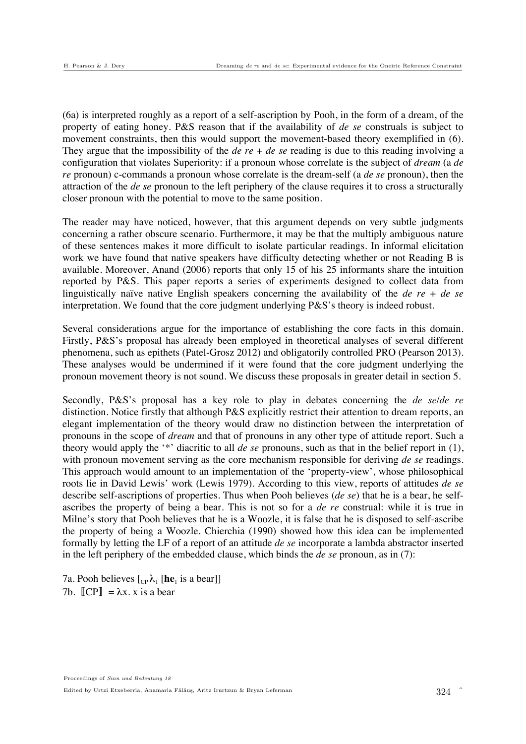(6a) is interpreted roughly as a report of a self-ascription by Pooh, in the form of a dream, of the property of eating honey. P&S reason that if the availability of *de se* construals is subject to movement constraints, then this would support the movement-based theory exemplified in (6). They argue that the impossibility of the *de re* + *de se* reading is due to this reading involving a configuration that violates Superiority: if a pronoun whose correlate is the subject of *dream* (a *de re* pronoun) c-commands a pronoun whose correlate is the dream-self (a *de se* pronoun), then the attraction of the *de se* pronoun to the left periphery of the clause requires it to cross a structurally closer pronoun with the potential to move to the same position.

The reader may have noticed, however, that this argument depends on very subtle judgments concerning a rather obscure scenario. Furthermore, it may be that the multiply ambiguous nature of these sentences makes it more difficult to isolate particular readings. In informal elicitation work we have found that native speakers have difficulty detecting whether or not Reading B is available. Moreover, Anand (2006) reports that only 15 of his 25 informants share the intuition reported by P&S. This paper reports a series of experiments designed to collect data from linguistically naïve native English speakers concerning the availability of the *de re* + *de se* interpretation. We found that the core judgment underlying P&S's theory is indeed robust.

Several considerations argue for the importance of establishing the core facts in this domain. Firstly, P&S's proposal has already been employed in theoretical analyses of several different phenomena, such as epithets (Patel-Grosz 2012) and obligatorily controlled PRO (Pearson 2013). These analyses would be undermined if it were found that the core judgment underlying the pronoun movement theory is not sound. We discuss these proposals in greater detail in section 5.

Secondly, P&S's proposal has a key role to play in debates concerning the *de se*/*de re* distinction. Notice firstly that although P&S explicitly restrict their attention to dream reports, an elegant implementation of the theory would draw no distinction between the interpretation of pronouns in the scope of *dream* and that of pronouns in any other type of attitude report. Such a theory would apply the '\*' diacritic to all *de se* pronouns, such as that in the belief report in (1), with pronoun movement serving as the core mechanism responsible for deriving *de se* readings. This approach would amount to an implementation of the 'property-view', whose philosophical roots lie in David Lewis' work (Lewis 1979). According to this view, reports of attitudes *de se* describe self-ascriptions of properties. Thus when Pooh believes (*de se*) that he is a bear, he selfascribes the property of being a bear. This is not so for a *de re* construal: while it is true in Milne's story that Pooh believes that he is a Woozle, it is false that he is disposed to self-ascribe the property of being a Woozle. Chierchia (1990) showed how this idea can be implemented formally by letting the LF of a report of an attitude *de se* incorporate a lambda abstractor inserted in the left periphery of the embedded clause, which binds the *de se* pronoun, as in (7):

7a. Pooh believes  $\begin{bmatrix} C_P \lambda_1 \\ \end{bmatrix}$  [he<sub>1</sub> is a bear]] 7b.  $\llbracket CP \rrbracket = \lambda x. x$  is a bear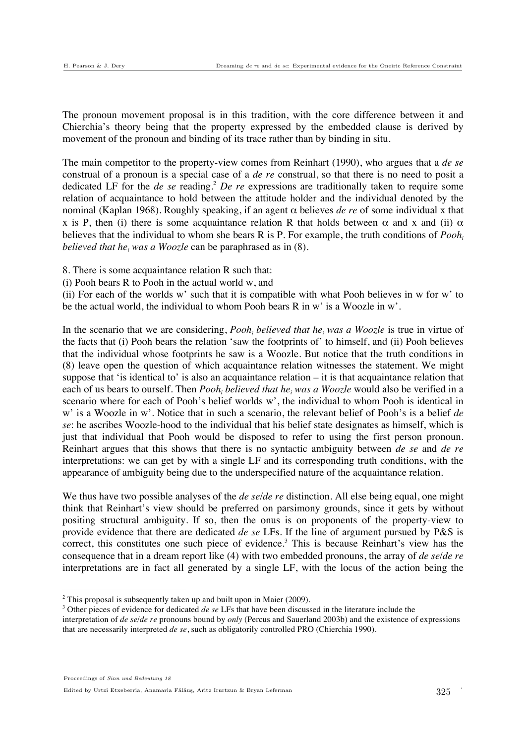The pronoun movement proposal is in this tradition, with the core difference between it and Chierchia's theory being that the property expressed by the embedded clause is derived by movement of the pronoun and binding of its trace rather than by binding in situ.

The main competitor to the property-view comes from Reinhart (1990), who argues that a *de se* construal of a pronoun is a special case of a *de re* construal, so that there is no need to posit a dedicated LF for the *de se* reading.<sup>2</sup> *De re* expressions are traditionally taken to require some relation of acquaintance to hold between the attitude holder and the individual denoted by the nominal (Kaplan 1968). Roughly speaking, if an agent α believes *de re* of some individual x that x is P, then (i) there is some acquaintance relation R that holds between  $\alpha$  and x and (ii)  $\alpha$ believes that the individual to whom she bears R is P. For example, the truth conditions of *Poohi believed that he<sub>i</sub> was a Woozle* can be paraphrased as in (8).

- 8. There is some acquaintance relation R such that:
- (i) Pooh bears R to Pooh in the actual world w, and

(ii) For each of the worlds w' such that it is compatible with what Pooh believes in w for w' to be the actual world, the individual to whom Pooh bears R in w' is a Woozle in w'.

In the scenario that we are considering,  $Pool<sub>i</sub>$  *believed that he<sub>i</sub> was a Woozle* is true in virtue of the facts that (i) Pooh bears the relation 'saw the footprints of' to himself, and (ii) Pooh believes that the individual whose footprints he saw is a Woozle. But notice that the truth conditions in (8) leave open the question of which acquaintance relation witnesses the statement. We might suppose that 'is identical to' is also an acquaintance relation  $-$  it is that acquaintance relation that each of us bears to ourself. Then *Pooh<sub>i</sub> believed that he<sub>i</sub> was a Woozle* would also be verified in a scenario where for each of Pooh's belief worlds w', the individual to whom Pooh is identical in w' is a Woozle in w'. Notice that in such a scenario, the relevant belief of Pooh's is a belief *de se*: he ascribes Woozle-hood to the individual that his belief state designates as himself, which is just that individual that Pooh would be disposed to refer to using the first person pronoun. Reinhart argues that this shows that there is no syntactic ambiguity between *de se* and *de re*  interpretations: we can get by with a single LF and its corresponding truth conditions, with the appearance of ambiguity being due to the underspecified nature of the acquaintance relation.

We thus have two possible analyses of the *de se*/*de re* distinction. All else being equal, one might think that Reinhart's view should be preferred on parsimony grounds, since it gets by without positing structural ambiguity. If so, then the onus is on proponents of the property-view to provide evidence that there are dedicated *de se* LFs. If the line of argument pursued by P&S is correct, this constitutes one such piece of evidence.<sup>3</sup> This is because Reinhart's view has the consequence that in a dream report like (4) with two embedded pronouns, the array of *de se*/*de re* interpretations are in fact all generated by a single LF, with the locus of the action being the

!!!!!!!!!!!!!!!!!!!!!!!!!!!!!!!!!!!!!!!!!!!!!!!!!!!!!!!

<sup>&</sup>lt;sup>2</sup> This proposal is subsequently taken up and built upon in Maier (2009).<br><sup>3</sup> Other pieces of evidence for dedicated de sell Es that have been discussed

Other pieces of evidence for dedicated *de se* LFs that have been discussed in the literature include the

interpretation of *de se*/*de re* pronouns bound by *only* (Percus and Sauerland 2003b) and the existence of expressions that are necessarily interpreted *de se*, such as obligatorily controlled PRO (Chierchia 1990).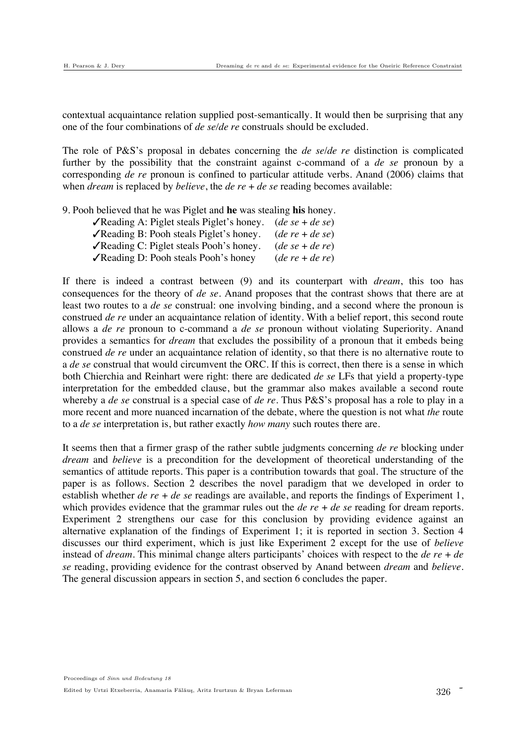contextual acquaintance relation supplied post-semantically. It would then be surprising that any one of the four combinations of *de se/de re* construals should be excluded.

The role of P&S's proposal in debates concerning the *de se*/*de re* distinction is complicated further by the possibility that the constraint against c-command of a *de se* pronoun by a corresponding *de re* pronoun is confined to particular attitude verbs. Anand (2006) claims that when *dream* is replaced by *believe*, the *de re* + *de se* reading becomes available:

9. Pooh believed that he was Piglet and **he** was stealing **his** honey.

| <b>V</b> Reading A: Piglet steals Piglet's honey. ( <i>de se + de se</i> ) |                   |
|----------------------------------------------------------------------------|-------------------|
| √Reading B: Pooh steals Piglet's honey.                                    | $(de re + de se)$ |
| √Reading C: Piglet steals Pooh's honey.                                    | $(de se + de re)$ |
| √Reading D: Pooh steals Pooh's honey                                       | $(de re + de re)$ |

If there is indeed a contrast between (9) and its counterpart with *dream*, this too has consequences for the theory of *de se*. Anand proposes that the contrast shows that there are at least two routes to a *de se* construal: one involving binding, and a second where the pronoun is construed *de re* under an acquaintance relation of identity. With a belief report, this second route allows a *de re* pronoun to c-command a *de se* pronoun without violating Superiority. Anand provides a semantics for *dream* that excludes the possibility of a pronoun that it embeds being construed *de re* under an acquaintance relation of identity, so that there is no alternative route to a *de se* construal that would circumvent the ORC. If this is correct, then there is a sense in which both Chierchia and Reinhart were right: there are dedicated *de se* LFs that yield a property-type interpretation for the embedded clause, but the grammar also makes available a second route whereby a *de se* construal is a special case of *de re*. Thus P&S's proposal has a role to play in a more recent and more nuanced incarnation of the debate, where the question is not what *the* route to a *de se* interpretation is, but rather exactly *how many* such routes there are.

It seems then that a firmer grasp of the rather subtle judgments concerning *de re* blocking under *dream* and *believe* is a precondition for the development of theoretical understanding of the semantics of attitude reports. This paper is a contribution towards that goal. The structure of the paper is as follows. Section 2 describes the novel paradigm that we developed in order to establish whether *de re* + *de se* readings are available, and reports the findings of Experiment 1, which provides evidence that the grammar rules out the *de re* + *de se* reading for dream reports. Experiment 2 strengthens our case for this conclusion by providing evidence against an alternative explanation of the findings of Experiment 1; it is reported in section 3. Section 4 discusses our third experiment, which is just like Experiment 2 except for the use of *believe* instead of *dream*. This minimal change alters participants' choices with respect to the *de re* + *de se* reading, providing evidence for the contrast observed by Anand between *dream* and *believe*. The general discussion appears in section 5, and section 6 concludes the paper.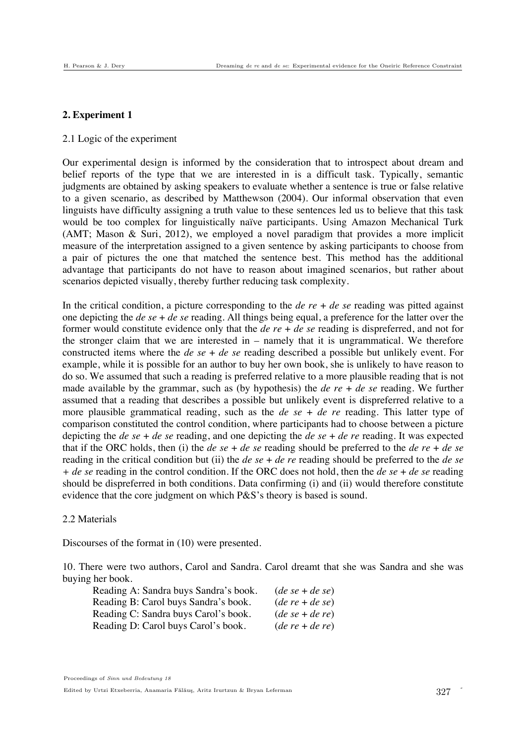### **2. Experiment 1**

#### 2.1 Logic of the experiment

Our experimental design is informed by the consideration that to introspect about dream and belief reports of the type that we are interested in is a difficult task. Typically, semantic judgments are obtained by asking speakers to evaluate whether a sentence is true or false relative to a given scenario, as described by Matthewson (2004). Our informal observation that even linguists have difficulty assigning a truth value to these sentences led us to believe that this task would be too complex for linguistically naïve participants. Using Amazon Mechanical Turk (AMT; Mason & Suri, 2012), we employed a novel paradigm that provides a more implicit measure of the interpretation assigned to a given sentence by asking participants to choose from a pair of pictures the one that matched the sentence best. This method has the additional advantage that participants do not have to reason about imagined scenarios, but rather about scenarios depicted visually, thereby further reducing task complexity.

In the critical condition, a picture corresponding to the *de re* + *de se* reading was pitted against one depicting the *de se* + *de se* reading. All things being equal, a preference for the latter over the former would constitute evidence only that the *de re* + *de se* reading is dispreferred, and not for the stronger claim that we are interested in – namely that it is ungrammatical. We therefore constructed items where the *de se* + *de se* reading described a possible but unlikely event. For example, while it is possible for an author to buy her own book, she is unlikely to have reason to do so. We assumed that such a reading is preferred relative to a more plausible reading that is not made available by the grammar, such as (by hypothesis) the *de re* + *de se* reading. We further assumed that a reading that describes a possible but unlikely event is dispreferred relative to a more plausible grammatical reading, such as the *de se* + *de re* reading. This latter type of comparison constituted the control condition, where participants had to choose between a picture depicting the *de se* + *de se* reading, and one depicting the *de se* + *de re* reading. It was expected that if the ORC holds, then (i) the *de se* + *de se* reading should be preferred to the *de re* + *de se* reading in the critical condition but (ii) the *de se* + *de re* reading should be preferred to the *de se + de se* reading in the control condition. If the ORC does not hold, then the *de se* + *de se* reading should be dispreferred in both conditions. Data confirming (i) and (ii) would therefore constitute evidence that the core judgment on which P&S's theory is based is sound.

### 2.2 Materials

Discourses of the format in (10) were presented.

10. There were two authors, Carol and Sandra. Carol dreamt that she was Sandra and she was buying her book.

| Reading A: Sandra buys Sandra's book. | $(de se + de se)$ |
|---------------------------------------|-------------------|
| Reading B: Carol buys Sandra's book.  | $(de re + de se)$ |
| Reading C: Sandra buys Carol's book.  | $(de se + de re)$ |
| Reading D: Carol buys Carol's book.   | $(de re + de re)$ |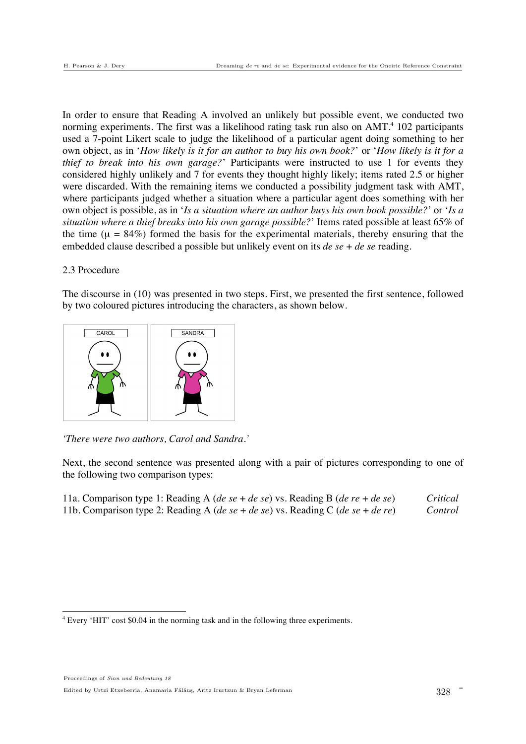In order to ensure that Reading A involved an unlikely but possible event, we conducted two norming experiments. The first was a likelihood rating task run also on AMT.<sup>4</sup> 102 participants used a 7-point Likert scale to judge the likelihood of a particular agent doing something to her own object, as in '*How likely is it for an author to buy his own book?*' or '*How likely is it for a thief to break into his own garage?*' Participants were instructed to use 1 for events they considered highly unlikely and 7 for events they thought highly likely; items rated 2.5 or higher were discarded. With the remaining items we conducted a possibility judgment task with AMT, where participants judged whether a situation where a particular agent does something with her own object is possible, as in '*Is a situation where an author buys his own book possible?*' or '*Is a situation where a thief breaks into his own garage possible?*' Items rated possible at least 65% of the time ( $\mu = 84\%$ ) formed the basis for the experimental materials, thereby ensuring that the embedded clause described a possible but unlikely event on its *de se* + *de se* reading.

### 2.3 Procedure

The discourse in (10) was presented in two steps. First, we presented the first sentence, followed by two coloured pictures introducing the characters, as shown below.



*'There were two authors, Carol and Sandra.'*

Next, the second sentence was presented along with a pair of pictures corresponding to one of the following two comparison types:

| 11a. Comparison type 1: Reading A (de se + de se) vs. Reading B (de re + de se) | Critical |
|---------------------------------------------------------------------------------|----------|
| 11b. Comparison type 2: Reading A (de se + de se) vs. Reading C (de se + de re) | Control  |

!!!!!!!!!!!!!!!!!!!!!!!!!!!!!!!!!!!!!!!!!!!!!!!!!!!!!!!

Edited by Urtzi Etxeberria, Anamaria Fălăuş, Aritz Irurtzun & Bryan Leferman 328

<sup>&</sup>lt;sup>4</sup> Every 'HIT' cost \$0.04 in the norming task and in the following three experiments.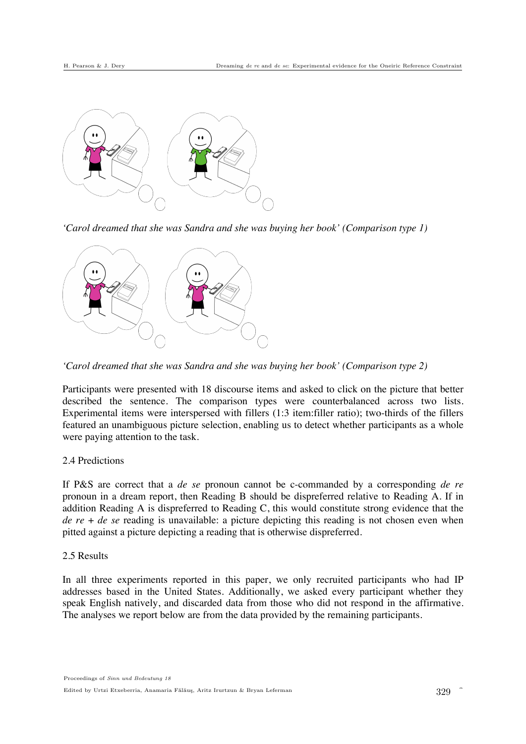

*'Carol dreamed that she was Sandra and she was buying her book' (Comparison type 1)*



*'Carol dreamed that she was Sandra and she was buying her book' (Comparison type 2)*

Participants were presented with 18 discourse items and asked to click on the picture that better described the sentence. The comparison types were counterbalanced across two lists. Experimental items were interspersed with fillers (1:3 item:filler ratio); two-thirds of the fillers featured an unambiguous picture selection, enabling us to detect whether participants as a whole were paying attention to the task.

# 2.4 Predictions

If P&S are correct that a *de se* pronoun cannot be c-commanded by a corresponding *de re* pronoun in a dream report, then Reading B should be dispreferred relative to Reading A. If in addition Reading A is dispreferred to Reading C, this would constitute strong evidence that the *de re* + *de se* reading is unavailable: a picture depicting this reading is not chosen even when pitted against a picture depicting a reading that is otherwise dispreferred.

#### 2.5 Results

In all three experiments reported in this paper, we only recruited participants who had IP addresses based in the United States. Additionally, we asked every participant whether they speak English natively, and discarded data from those who did not respond in the affirmative. The analyses we report below are from the data provided by the remaining participants.

Î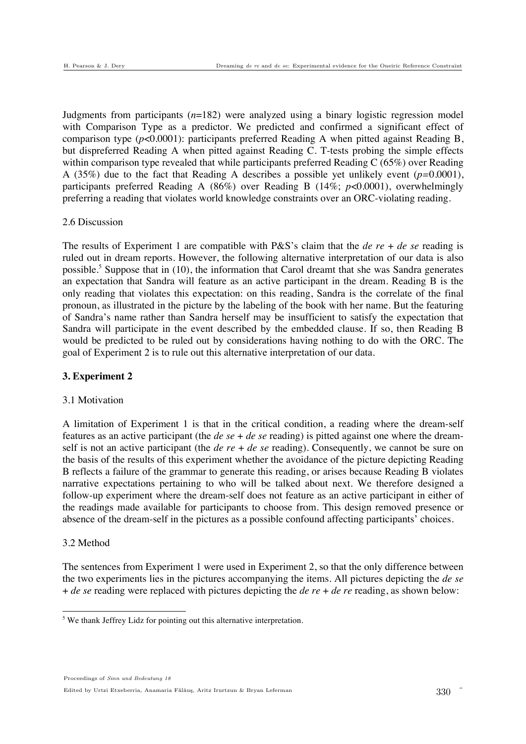Judgments from participants (*n*=182) were analyzed using a binary logistic regression model with Comparison Type as a predictor. We predicted and confirmed a significant effect of comparison type (*p*<0.0001): participants preferred Reading A when pitted against Reading B, but dispreferred Reading A when pitted against Reading C. T-tests probing the simple effects within comparison type revealed that while participants preferred Reading C (65%) over Reading A (35%) due to the fact that Reading A describes a possible yet unlikely event (*p=*0.0001), participants preferred Reading A (86%) over Reading B (14%; *p*<0.0001), overwhelmingly preferring a reading that violates world knowledge constraints over an ORC-violating reading.

### 2.6 Discussion

The results of Experiment 1 are compatible with P&S's claim that the *de re* + *de se* reading is ruled out in dream reports. However, the following alternative interpretation of our data is also possible.<sup>5</sup> Suppose that in  $(10)$ , the information that Carol dreamt that she was Sandra generates an expectation that Sandra will feature as an active participant in the dream. Reading B is the only reading that violates this expectation: on this reading, Sandra is the correlate of the final pronoun, as illustrated in the picture by the labeling of the book with her name. But the featuring of Sandra's name rather than Sandra herself may be insufficient to satisfy the expectation that Sandra will participate in the event described by the embedded clause. If so, then Reading B would be predicted to be ruled out by considerations having nothing to do with the ORC. The goal of Experiment 2 is to rule out this alternative interpretation of our data.

# **3. Experiment 2**

# 3.1 Motivation

A limitation of Experiment 1 is that in the critical condition, a reading where the dream-self features as an active participant (the *de se* + *de se* reading) is pitted against one where the dreamself is not an active participant (the *de re* + *de se* reading). Consequently, we cannot be sure on the basis of the results of this experiment whether the avoidance of the picture depicting Reading B reflects a failure of the grammar to generate this reading, or arises because Reading B violates narrative expectations pertaining to who will be talked about next. We therefore designed a follow-up experiment where the dream-self does not feature as an active participant in either of the readings made available for participants to choose from. This design removed presence or absence of the dream-self in the pictures as a possible confound affecting participants' choices.

# 3.2 Method

The sentences from Experiment 1 were used in Experiment 2, so that the only difference between the two experiments lies in the pictures accompanying the items. All pictures depicting the *de se* + *de se* reading were replaced with pictures depicting the *de re* + *de re* reading, as shown below:

Proceedings of Sinn und Bedeutung 18 Edited by Urtzi Etxeberria, Anamaria Fălăuș, Aritz Irurtzun & Bryan Leferman

We thank Jeffrey Lidz for pointing out this alternative interpretation.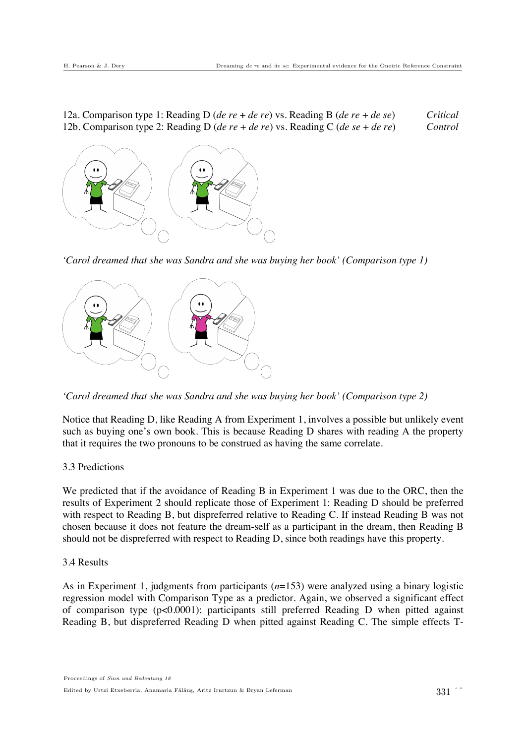12a. Comparison type 1: Reading D (*de re* + *de re*) vs. Reading B (*de re* + *de se*) *Critical* 12b. Comparison type 2: Reading D (*de re* + *de re*) vs. Reading C (*de se* + *de re*) *Control*



*'Carol dreamed that she was Sandra and she was buying her book' (Comparison type 1)*



*'Carol dreamed that she was Sandra and she was buying her book' (Comparison type 2)*

Notice that Reading D, like Reading A from Experiment 1, involves a possible but unlikely event such as buying one's own book. This is because Reading D shares with reading A the property that it requires the two pronouns to be construed as having the same correlate.

### 3.3 Predictions

We predicted that if the avoidance of Reading B in Experiment 1 was due to the ORC, then the results of Experiment 2 should replicate those of Experiment 1: Reading D should be preferred with respect to Reading B, but dispreferred relative to Reading C. If instead Reading B was not chosen because it does not feature the dream-self as a participant in the dream, then Reading B should not be dispreferred with respect to Reading D, since both readings have this property.

#### 3.4 Results

As in Experiment 1, judgments from participants (*n*=153) were analyzed using a binary logistic regression model with Comparison Type as a predictor. Again, we observed a significant effect of comparison type (p<0.0001): participants still preferred Reading D when pitted against Reading B, but dispreferred Reading D when pitted against Reading C. The simple effects T-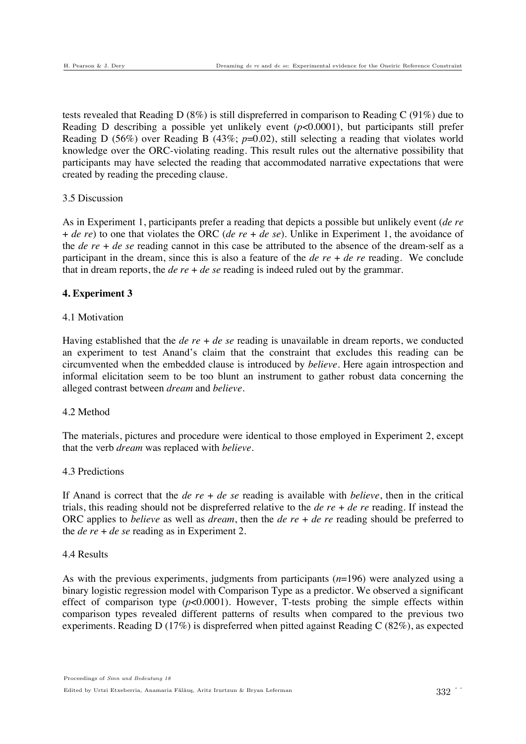tests revealed that Reading D (8%) is still dispreferred in comparison to Reading C (91%) due to Reading D describing a possible yet unlikely event (*p*<0.0001), but participants still prefer Reading D (56%) over Reading B (43%; *p*=0.02), still selecting a reading that violates world knowledge over the ORC-violating reading. This result rules out the alternative possibility that participants may have selected the reading that accommodated narrative expectations that were created by reading the preceding clause.

### 3.5 Discussion

As in Experiment 1, participants prefer a reading that depicts a possible but unlikely event (*de re* + *de re*) to one that violates the ORC (*de re* + *de se*). Unlike in Experiment 1, the avoidance of the *de re* + *de se* reading cannot in this case be attributed to the absence of the dream-self as a participant in the dream, since this is also a feature of the *de re* + *de re* reading. We conclude that in dream reports, the *de re* + *de se* reading is indeed ruled out by the grammar.

### **4. Experiment 3**

### 4.1 Motivation

Having established that the *de re* + *de se* reading is unavailable in dream reports, we conducted an experiment to test Anand's claim that the constraint that excludes this reading can be circumvented when the embedded clause is introduced by *believe*. Here again introspection and informal elicitation seem to be too blunt an instrument to gather robust data concerning the alleged contrast between *dream* and *believe*.

### 4.2 Method

The materials, pictures and procedure were identical to those employed in Experiment 2, except that the verb *dream* was replaced with *believe*.

### 4.3 Predictions

If Anand is correct that the *de re* + *de se* reading is available with *believe*, then in the critical trials, this reading should not be dispreferred relative to the *de re* + *de re* reading. If instead the ORC applies to *believe* as well as *dream*, then the *de re* + *de re* reading should be preferred to the *de re* + *de se* reading as in Experiment 2.

### 4.4 Results

As with the previous experiments, judgments from participants (*n*=196) were analyzed using a binary logistic regression model with Comparison Type as a predictor. We observed a significant effect of comparison type  $(p<0.0001)$ . However, T-tests probing the simple effects within comparison types revealed different patterns of results when compared to the previous two experiments. Reading D (17%) is dispreferred when pitted against Reading C (82%), as expected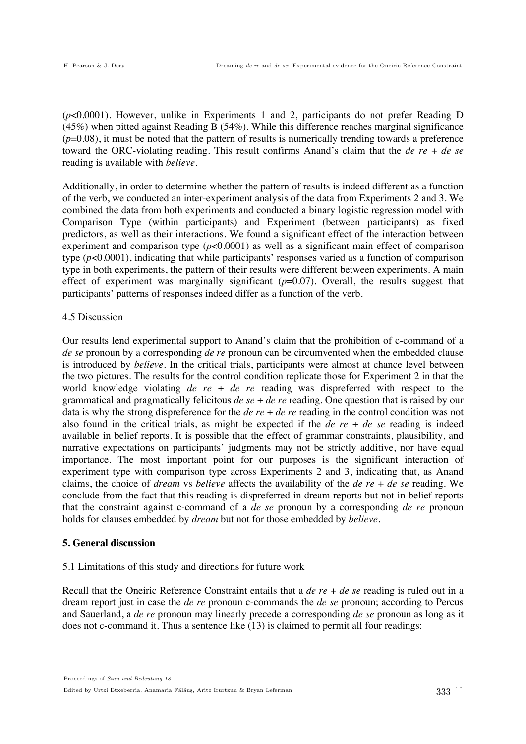(*p*<0.0001). However, unlike in Experiments 1 and 2, participants do not prefer Reading D  $(45%)$  when pitted against Reading B (54%). While this difference reaches marginal significance  $(p=0.08)$ , it must be noted that the pattern of results is numerically trending towards a preference toward the ORC-violating reading. This result confirms Anand's claim that the *de re* + *de se* reading is available with *believe*.

Additionally, in order to determine whether the pattern of results is indeed different as a function of the verb, we conducted an inter-experiment analysis of the data from Experiments 2 and 3. We combined the data from both experiments and conducted a binary logistic regression model with Comparison Type (within participants) and Experiment (between participants) as fixed predictors, as well as their interactions. We found a significant effect of the interaction between experiment and comparison type (*p*<0.0001) as well as a significant main effect of comparison type (*p*<0.0001), indicating that while participants' responses varied as a function of comparison type in both experiments, the pattern of their results were different between experiments. A main effect of experiment was marginally significant (*p*=0.07). Overall, the results suggest that participants' patterns of responses indeed differ as a function of the verb.

### 4.5 Discussion

Our results lend experimental support to Anand's claim that the prohibition of c-command of a *de se* pronoun by a corresponding *de re* pronoun can be circumvented when the embedded clause is introduced by *believe*. In the critical trials, participants were almost at chance level between the two pictures. The results for the control condition replicate those for Experiment 2 in that the world knowledge violating *de re* + *de re* reading was dispreferred with respect to the grammatical and pragmatically felicitous *de se* + *de re* reading. One question that is raised by our data is why the strong dispreference for the *de re* + *de re* reading in the control condition was not also found in the critical trials, as might be expected if the *de re* + *de se* reading is indeed available in belief reports. It is possible that the effect of grammar constraints, plausibility, and narrative expectations on participants' judgments may not be strictly additive, nor have equal importance. The most important point for our purposes is the significant interaction of experiment type with comparison type across Experiments 2 and 3, indicating that, as Anand claims, the choice of *dream* vs *believe* affects the availability of the *de re* + *de se* reading. We conclude from the fact that this reading is dispreferred in dream reports but not in belief reports that the constraint against c-command of a *de se* pronoun by a corresponding *de re* pronoun holds for clauses embedded by *dream* but not for those embedded by *believe*.

# **5. General discussion**

# 5.1 Limitations of this study and directions for future work

Recall that the Oneiric Reference Constraint entails that a *de re* + *de se* reading is ruled out in a dream report just in case the *de re* pronoun c-commands the *de se* pronoun; according to Percus and Sauerland, a *de re* pronoun may linearly precede a corresponding *de se* pronoun as long as it does not c-command it. Thus a sentence like (13) is claimed to permit all four readings: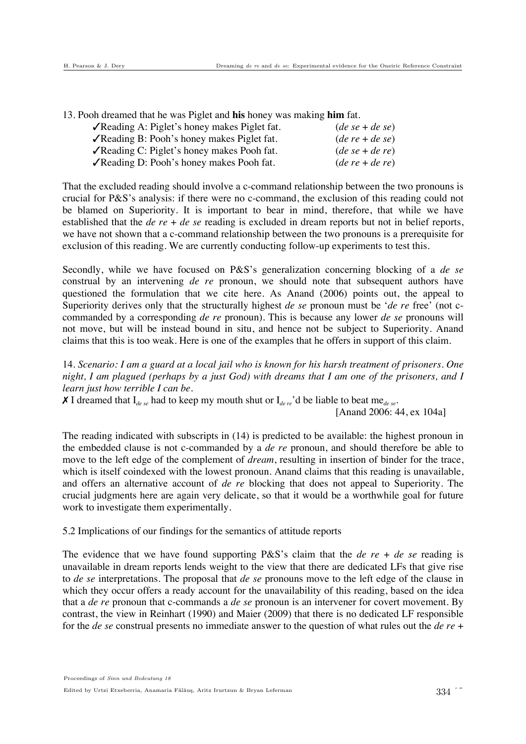13. Pooh dreamed that he was Piglet and **his** honey was making **him** fat.

| √Reading A: Piglet's honey makes Piglet fat.               | $(de se + de se)$ |
|------------------------------------------------------------|-------------------|
| $\sqrt{\text{Reading B}}$ : Pooh's honey makes Piglet fat. | $(de re + de se)$ |
| $\sqrt{\text{Reading C}}$ : Piglet's honey makes Pooh fat. | $(de se + de re)$ |
| √Reading D: Pooh's honey makes Pooh fat.                   | $(de re + de re)$ |

That the excluded reading should involve a c-command relationship between the two pronouns is crucial for P&S's analysis: if there were no c-command, the exclusion of this reading could not be blamed on Superiority. It is important to bear in mind, therefore, that while we have established that the *de re* + *de se* reading is excluded in dream reports but not in belief reports, we have not shown that a c-command relationship between the two pronouns is a prerequisite for exclusion of this reading. We are currently conducting follow-up experiments to test this.

Secondly, while we have focused on P&S's generalization concerning blocking of a *de se* construal by an intervening *de re* pronoun, we should note that subsequent authors have questioned the formulation that we cite here. As Anand (2006) points out, the appeal to Superiority derives only that the structurally highest *de se* pronoun must be '*de re* free' (not ccommanded by a corresponding *de re* pronoun). This is because any lower *de se* pronouns will not move, but will be instead bound in situ, and hence not be subject to Superiority. Anand claims that this is too weak. Here is one of the examples that he offers in support of this claim.

14. *Scenario: I am a guard at a local jail who is known for his harsh treatment of prisoners. One night, I am plagued (perhaps by a just God) with dreams that I am one of the prisoners, and I learn just how terrible I can be.* 

 $\chi$  I dreamed that  $I_{dege}$  had to keep my mouth shut or  $I_{dege}$ <sup>3</sup> d be liable to beat me<sub>de se</sub>.

[Anand 2006: 44, ex 104a]

The reading indicated with subscripts in (14) is predicted to be available: the highest pronoun in the embedded clause is not c-commanded by a *de re* pronoun, and should therefore be able to move to the left edge of the complement of *dream*, resulting in insertion of binder for the trace, which is itself coindexed with the lowest pronoun. Anand claims that this reading is unavailable, and offers an alternative account of *de re* blocking that does not appeal to Superiority. The crucial judgments here are again very delicate, so that it would be a worthwhile goal for future work to investigate them experimentally.

5.2 Implications of our findings for the semantics of attitude reports

The evidence that we have found supporting P&S's claim that the *de re* + *de se* reading is unavailable in dream reports lends weight to the view that there are dedicated LFs that give rise to *de se* interpretations. The proposal that *de se* pronouns move to the left edge of the clause in which they occur offers a ready account for the unavailability of this reading, based on the idea that a *de re* pronoun that c-commands a *de se* pronoun is an intervener for covert movement. By contrast, the view in Reinhart (1990) and Maier (2009) that there is no dedicated LF responsible for the *de se* construal presents no immediate answer to the question of what rules out the *de re* +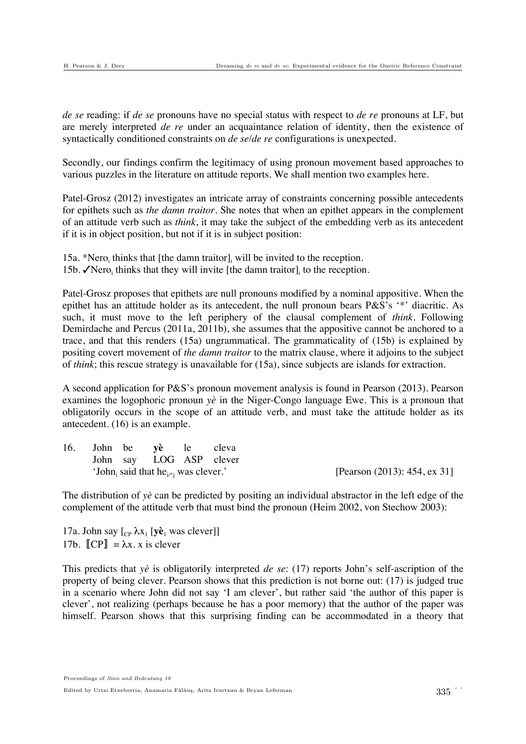*de se* reading: if *de se* pronouns have no special status with respect to *de re* pronouns at LF, but are merely interpreted *de re* under an acquaintance relation of identity, then the existence of syntactically conditioned constraints on *de se*/*de re* configurations is unexpected.

Secondly, our findings confirm the legitimacy of using pronoun movement based approaches to various puzzles in the literature on attitude reports. We shall mention two examples here.

Patel-Grosz (2012) investigates an intricate array of constraints concerning possible antecedents for epithets such as *the damn traitor*. She notes that when an epithet appears in the complement of an attitude verb such as *think*, it may take the subject of the embedding verb as its antecedent if it is in object position, but not if it is in subject position:

15a. \*Nero<sub>i</sub> thinks that [the damn traitor]<sub>i</sub> will be invited to the reception. 15b.  $\sqrt{\text{Nero}}_i$  thinks that they will invite [the damn traitor], to the reception.

Patel-Grosz proposes that epithets are null pronouns modified by a nominal appositive. When the epithet has an attitude holder as its antecedent, the null pronoun bears P&S's '\*' diacritic. As such, it must move to the left periphery of the clausal complement of *think*. Following Demirdache and Percus (2011a, 2011b), she assumes that the appositive cannot be anchored to a trace, and that this renders (15a) ungrammatical. The grammaticality of (15b) is explained by positing covert movement of *the damn traitor* to the matrix clause, where it adjoins to the subject of *think*; this rescue strategy is unavailable for (15a), since subjects are islands for extraction.

A second application for P&S's pronoun movement analysis is found in Pearson (2013). Pearson examines the logophoric pronoun *yè* in the Niger-Congo language Ewe. This is a pronoun that obligatorily occurs in the scope of an attitude verb, and must take the attitude holder as its antecedent. (16) is an example.

| 16.                                                          |  |  | John be yè le cleva |                                 |  |
|--------------------------------------------------------------|--|--|---------------------|---------------------------------|--|
|                                                              |  |  |                     | John say LOG ASP clever         |  |
| 'John, said that he <sub><math>i^*</math></sub> was clever.' |  |  |                     | [Pearson $(2013)$ : 454, ex 31] |  |

The distribution of *yè* can be predicted by positing an individual abstractor in the left edge of the complement of the attitude verb that must bind the pronoun (Heim 2002, von Stechow 2003):

17a. John say  $\begin{bmatrix} C_P \lambda x_1 \end{bmatrix}$  was clever]] 17b.  $\llbracket CP \rrbracket = \lambda x$ . x is clever

This predicts that *yè* is obligatorily interpreted *de se*: (17) reports John's self-ascription of the property of being clever. Pearson shows that this prediction is not borne out: (17) is judged true in a scenario where John did not say 'I am clever', but rather said 'the author of this paper is clever', not realizing (perhaps because he has a poor memory) that the author of the paper was himself. Pearson shows that this surprising finding can be accommodated in a theory that

Proceedings of Sinn und Bedeutung 18 Edited by Urtzi Etxeberria, Anamaria Fălăuș, Aritz Irurtzun & Bryan Leferman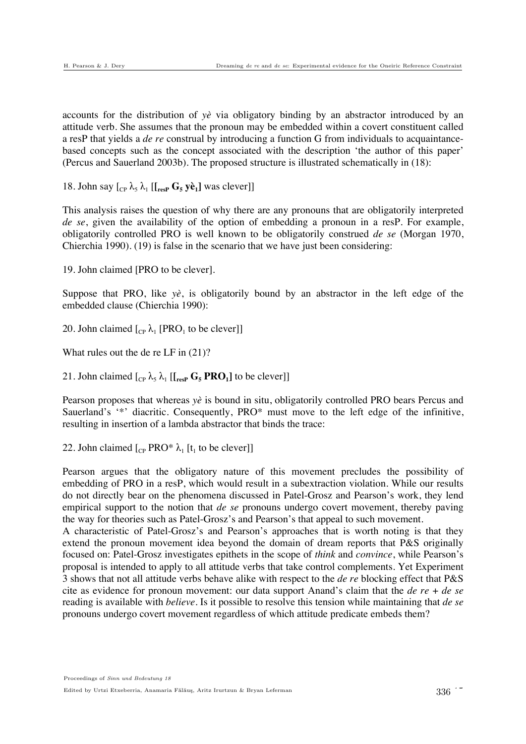accounts for the distribution of *yè* via obligatory binding by an abstractor introduced by an attitude verb. She assumes that the pronoun may be embedded within a covert constituent called a resP that yields a *de re* construal by introducing a function G from individuals to acquaintancebased concepts such as the concept associated with the description 'the author of this paper' (Percus and Sauerland 2003b). The proposed structure is illustrated schematically in (18):

18. John say  $\begin{bmatrix} C_P & \lambda_5 & \lambda_1 \end{bmatrix}$  [ $\begin{bmatrix} F_{\text{resp}} & G_5 & \text{ye}_1 \end{bmatrix}$  was clever]]

This analysis raises the question of why there are any pronouns that are obligatorily interpreted *de se*, given the availability of the option of embedding a pronoun in a resP. For example, obligatorily controlled PRO is well known to be obligatorily construed *de se* (Morgan 1970, Chierchia 1990). (19) is false in the scenario that we have just been considering:

19. John claimed [PRO to be clever].

Suppose that PRO, like *yè*, is obligatorily bound by an abstractor in the left edge of the embedded clause (Chierchia 1990):

20. John claimed  $\begin{bmatrix} C_P & \lambda_1 \\ PRO_1 \end{bmatrix}$  to be clever

What rules out the de re LF in (21)?

21. John claimed  $\begin{bmatrix} C_P & \lambda_5 & \lambda_1 \end{bmatrix}$   $\begin{bmatrix} \begin{bmatrix} \begin{bmatrix} \begin{bmatrix} \text{resp} \end{bmatrix} & \text{PRO}_1 \end{bmatrix} \end{bmatrix}$  to be clever]

Pearson proposes that whereas *yè* is bound in situ, obligatorily controlled PRO bears Percus and Sauerland's '\*' diacritic. Consequently, PRO\* must move to the left edge of the infinitive, resulting in insertion of a lambda abstractor that binds the trace:

22. John claimed  $\begin{bmatrix} C_P & PRO^* \lambda_1 \end{bmatrix}$  [t<sub>1</sub> to be clever]]

Pearson argues that the obligatory nature of this movement precludes the possibility of embedding of PRO in a resP, which would result in a subextraction violation. While our results do not directly bear on the phenomena discussed in Patel-Grosz and Pearson's work, they lend empirical support to the notion that *de se* pronouns undergo covert movement, thereby paving the way for theories such as Patel-Grosz's and Pearson's that appeal to such movement.

A characteristic of Patel-Grosz's and Pearson's approaches that is worth noting is that they extend the pronoun movement idea beyond the domain of dream reports that P&S originally focused on: Patel-Grosz investigates epithets in the scope of *think* and *convince*, while Pearson's proposal is intended to apply to all attitude verbs that take control complements. Yet Experiment 3 shows that not all attitude verbs behave alike with respect to the *de re* blocking effect that P&S cite as evidence for pronoun movement: our data support Anand's claim that the *de re* + *de se* reading is available with *believe*. Is it possible to resolve this tension while maintaining that *de se* pronouns undergo covert movement regardless of which attitude predicate embeds them?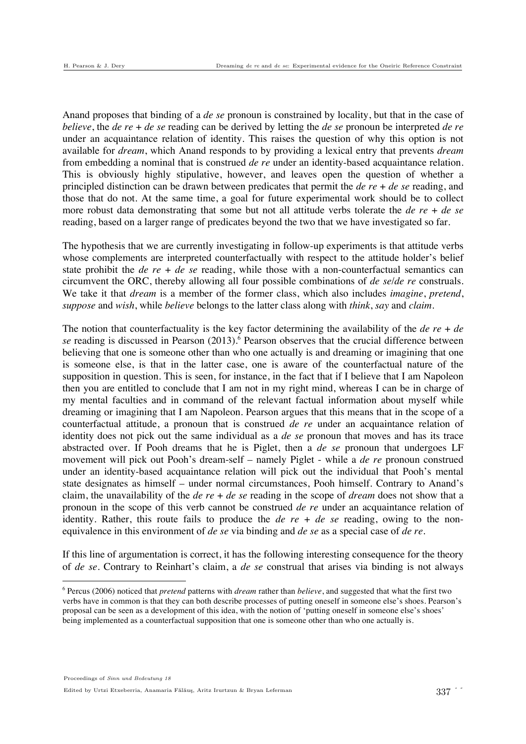Anand proposes that binding of a *de se* pronoun is constrained by locality, but that in the case of *believe*, the *de re* + *de se* reading can be derived by letting the *de se* pronoun be interpreted *de re* under an acquaintance relation of identity. This raises the question of why this option is not available for *dream*, which Anand responds to by providing a lexical entry that prevents *dream*  from embedding a nominal that is construed *de re* under an identity-based acquaintance relation. This is obviously highly stipulative, however, and leaves open the question of whether a principled distinction can be drawn between predicates that permit the *de re* + *de se* reading, and those that do not. At the same time, a goal for future experimental work should be to collect more robust data demonstrating that some but not all attitude verbs tolerate the *de re* + *de se* reading, based on a larger range of predicates beyond the two that we have investigated so far.

The hypothesis that we are currently investigating in follow-up experiments is that attitude verbs whose complements are interpreted counterfactually with respect to the attitude holder's belief state prohibit the *de re* + *de se* reading, while those with a non-counterfactual semantics can circumvent the ORC, thereby allowing all four possible combinations of *de se*/*de re* construals. We take it that *dream* is a member of the former class, which also includes *imagine*, *pretend*, *suppose* and *wish*, while *believe* belongs to the latter class along with *think*, *say* and *claim*.

The notion that counterfactuality is the key factor determining the availability of the *de re* + *de*  se reading is discussed in Pearson (2013).<sup>6</sup> Pearson observes that the crucial difference between believing that one is someone other than who one actually is and dreaming or imagining that one is someone else, is that in the latter case, one is aware of the counterfactual nature of the supposition in question. This is seen, for instance, in the fact that if I believe that I am Napoleon then you are entitled to conclude that I am not in my right mind, whereas I can be in charge of my mental faculties and in command of the relevant factual information about myself while dreaming or imagining that I am Napoleon. Pearson argues that this means that in the scope of a counterfactual attitude, a pronoun that is construed *de re* under an acquaintance relation of identity does not pick out the same individual as a *de se* pronoun that moves and has its trace abstracted over. If Pooh dreams that he is Piglet, then a *de se* pronoun that undergoes LF movement will pick out Pooh's dream-self – namely Piglet - while a *de re* pronoun construed under an identity-based acquaintance relation will pick out the individual that Pooh's mental state designates as himself – under normal circumstances, Pooh himself. Contrary to Anand's claim, the unavailability of the *de re* + *de se* reading in the scope of *dream* does not show that a pronoun in the scope of this verb cannot be construed *de re* under an acquaintance relation of identity. Rather, this route fails to produce the *de re* + *de se* reading, owing to the nonequivalence in this environment of *de se* via binding and *de se* as a special case of *de re*.

If this line of argumentation is correct, it has the following interesting consequence for the theory of *de se*. Contrary to Reinhart's claim, a *de se* construal that arises via binding is not always

!!!!!!!!!!!!!!!!!!!!!!!!!!!!!!!!!!!!!!!!!!!!!!!!!!!!!!!

<sup>6</sup> Percus (2006) noticed that *pretend* patterns with *dream* rather than *believe*, and suggested that what the first two verbs have in common is that they can both describe processes of putting oneself in someone else's shoes. Pearson's proposal can be seen as a development of this idea, with the notion of 'putting oneself in someone else's shoes' being implemented as a counterfactual supposition that one is someone other than who one actually is.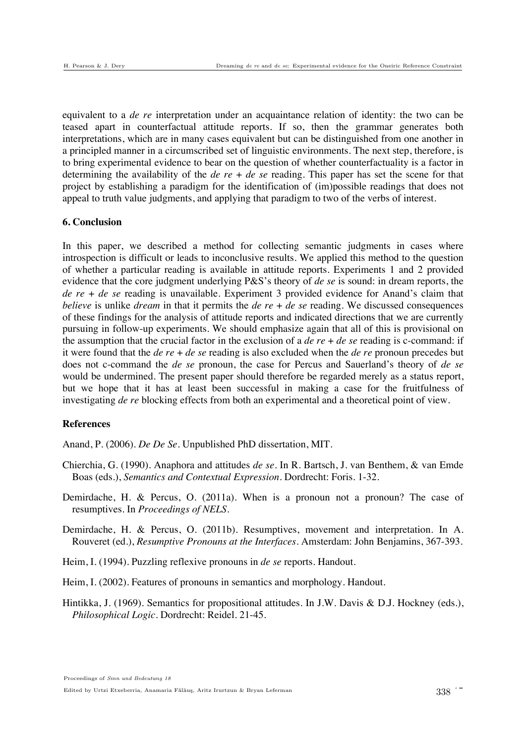equivalent to a *de re* interpretation under an acquaintance relation of identity: the two can be teased apart in counterfactual attitude reports. If so, then the grammar generates both interpretations, which are in many cases equivalent but can be distinguished from one another in a principled manner in a circumscribed set of linguistic environments. The next step, therefore, is to bring experimental evidence to bear on the question of whether counterfactuality is a factor in determining the availability of the *de re* + *de se* reading. This paper has set the scene for that project by establishing a paradigm for the identification of (im)possible readings that does not appeal to truth value judgments, and applying that paradigm to two of the verbs of interest.

### **6. Conclusion**

In this paper, we described a method for collecting semantic judgments in cases where introspection is difficult or leads to inconclusive results. We applied this method to the question of whether a particular reading is available in attitude reports. Experiments 1 and 2 provided evidence that the core judgment underlying P&S's theory of *de se* is sound: in dream reports, the *de re* + *de se* reading is unavailable. Experiment 3 provided evidence for Anand's claim that *believe* is unlike *dream* in that it permits the *de re* + *de se* reading. We discussed consequences of these findings for the analysis of attitude reports and indicated directions that we are currently pursuing in follow-up experiments. We should emphasize again that all of this is provisional on the assumption that the crucial factor in the exclusion of a *de re* + *de se* reading is c-command: if it were found that the *de re* + *de se* reading is also excluded when the *de re* pronoun precedes but does not c-command the *de se* pronoun, the case for Percus and Sauerland's theory of *de se* would be undermined. The present paper should therefore be regarded merely as a status report, but we hope that it has at least been successful in making a case for the fruitfulness of investigating *de re* blocking effects from both an experimental and a theoretical point of view.

#### **References**

Anand, P. (2006). *De De Se.* Unpublished PhD dissertation, MIT.

- Chierchia, G. (1990). Anaphora and attitudes *de se*. In R. Bartsch, J. van Benthem, & van Emde Boas (eds.), *Semantics and Contextual Expression*. Dordrecht: Foris. 1-32.
- Demirdache, H. & Percus, O. (2011a). When is a pronoun not a pronoun? The case of resumptives. In *Proceedings of NELS*.
- Demirdache, H. & Percus, O. (2011b). Resumptives, movement and interpretation. In A. Rouveret (ed.), *Resumptive Pronouns at the Interfaces*. Amsterdam: John Benjamins, 367-393.
- Heim, I. (1994). Puzzling reflexive pronouns in *de se* reports. Handout.
- Heim, I. (2002). Features of pronouns in semantics and morphology. Handout.
- Hintikka, J. (1969). Semantics for propositional attitudes. In J.W. Davis & D.J. Hockney (eds.), *Philosophical Logic*. Dordrecht: Reidel. 21-45.

Proceedings of Sinn und Bedeutung 18

Edited by Urtzi Etxeberria, Anamaria Fălăuș, Aritz Irurtzun & Bryan Leferman